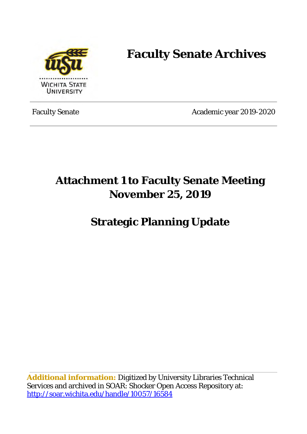

### **Faculty Senate Archives**

Faculty Senate Academic year 2019-2020

### **Attachment 1 to Faculty Senate Meeting November 25, 2019**

#### **Strategic Planning Update**

**Additional information:** Digitized by University Libraries Technical Services and archived in SOAR: Shocker Open Access Repository at: <http://soar.wichita.edu/handle/10057/16584>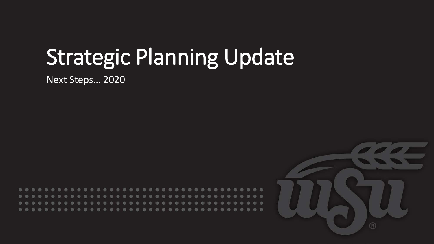# Strategic Planning Update

Next Steps… 2020



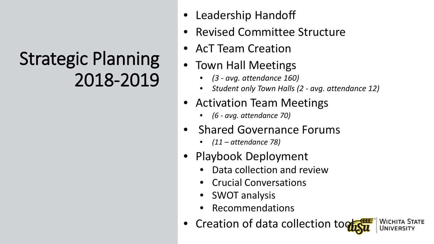## Strategic Planning 2018-2019

- Leadership Handoff
- Revised Committee Structure
- AcT Team Creation
- Town Hall Meetings
	- *(3 - avg. attendance 160)*
	- *Student only Town Halls (2 - avg. attendance 12)*
- Activation Team Meetings
	- *(6 - avg. attendance 70)*
- Shared Governance Forums
	- *(11 – attendance 78)*
- Playbook Deployment
	- Data collection and review
	- Crucial Conversations
	- SWOT analysis
	- Recommendations
- Creation of data collection tog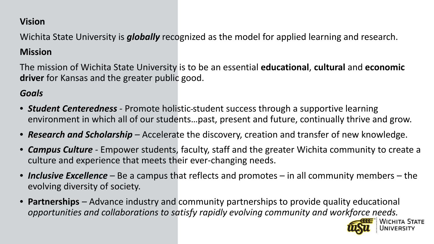#### **Vision**

Wichita State University is *globally* recognized as the model for applied learning and research.

#### **Mission**

The mission of Wichita State University is to be an essential **educational**, **cultural** and **economic driver** for Kansas and the greater public good.

### *Goals*

- *Student Centeredness* Promote holistic-student success through a supportive learning environment in which all of our students…past, present and future, continually thrive and grow.
- *Research and Scholarship –* Accelerate the discovery, creation and transfer of new knowledge.
- *Campus Culture -* Empower students, faculty, staff and the greater Wichita community to create a culture and experience that meets their ever-changing needs.
- *Inclusive Excellence –* Be a campus that reflects and promotes in all community members the evolving diversity of society.
- **Partnerships** *–* Advance industry and community partnerships to provide quality educational *opportunities and collaborations to satisfy rapidly evolving community and workforce needs.*

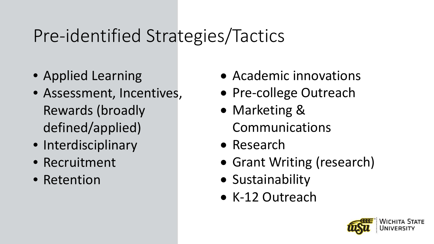### Pre-identified Strategies/Tactics

- Applied Learning
- Assessment, Incentives, Rewards (broadly defined/applied)
- Interdisciplinary
- Recruitment
- Retention
- Academic innovations
- Pre-college Outreach
- Marketing & Communications
- Research
- Grant Writing (research)
- Sustainability
- K-12 Outreach

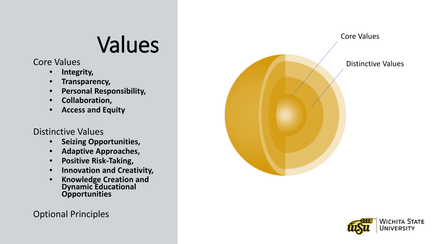## Values

Core Values

- **Integrity,**
- **Transparency,**
- **Personal Responsibility,**
- **Collaboration,**
- **Access and Equity**

#### Distinctive Values

- **Seizing Opportunities,**
- **Adaptive Approaches,**
- **Positive Risk-Taking,**
- **Innovation and Creativity,**
- **Knowledge Creation and Dynamic Educational Opportunities**

### Optional Principles



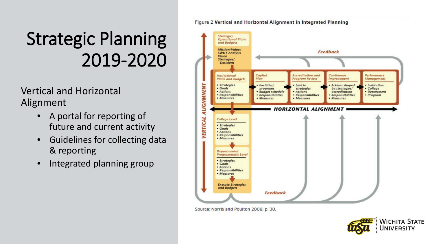## **Strategic Planning** 2019-2020

**Vertical and Horizontal** Alignment

- A portal for reporting of  $\bullet$ future and current activity
- **Guidelines for collecting data**  $\bullet$ & reporting
- Integrated planning group  $\bullet$



Source: Norris and Poulton 2008, p. 30.

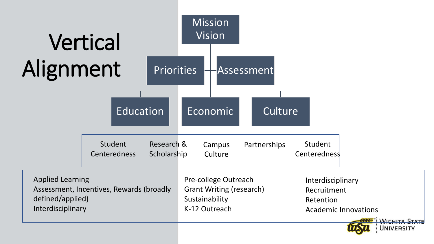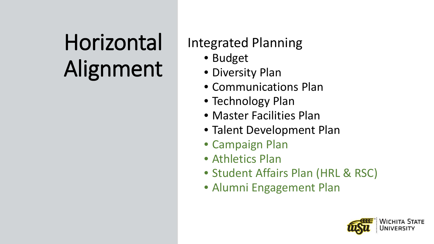# Horizontal Alignment

### **Integrated Planning**

- Budget
- · Diversity Plan
- Communications Plan
- Technology Plan
- Master Facilities Plan
- Talent Development Plan
- Campaign Plan
- Athletics Plan
- Student Affairs Plan (HRL & RSC)
- · Alumni Engagement Plan